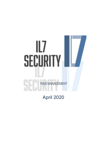## lL7 **SECURITY** RISK MANAGEMENT

April 2020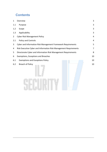## **Contents**

| $\mathbf{1}$   | Overview                                                          | 3  |  |
|----------------|-------------------------------------------------------------------|----|--|
| 1.1            | Purpose                                                           |    |  |
| 1.2            | Scope                                                             | 3  |  |
| 1.3            | Applicability                                                     | 3  |  |
| $\overline{2}$ | <b>Cyber Risk Management Policy</b>                               |    |  |
| 2.1            | Policy and Controls                                               |    |  |
| 3              | Cyber and Information Risk Management Framework Requirements<br>5 |    |  |
| 4              | Risk Executive Cyber and Information Risk Management Requirements |    |  |
| 5              | Directorate Cyber and Information Risk Management Requirements    | 8  |  |
| 6              | <b>Exemptions, Exceptions and Breaches</b>                        | 10 |  |
| 6.1            | <b>Exemptions and Exceptions Policy</b>                           | 10 |  |
| 6.2            | <b>Breach of Policy</b>                                           | 10 |  |
|                |                                                                   |    |  |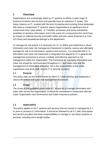### <span id="page-2-0"></span>**1 Overview**

Organisations are increasingly reliant on IT systems to deliver a wide range of business functions and services and typically have an extensive IT estate. This heavy reliance on IT, coupled with the ever-increasing and evolving threat landscape that looks to compromise IT systems, places Organisations at significant risk of compromise from cyber-attack. IL7 handles, processes and stores substantial quantities of sensitive information, and in the event of a compromise this could have an impact on national security and public safety and also cause financial (e.g. from ICO fines) and reputational damage to the department.

To manage the risk posed, it is necessary for IL7 to define and implement a robust information and cyber risk management framework to identify, assess and ultimately manage the risk to its information, systems and services. It is essential that IL7's information and cyber risk framework is integrated and aligned to IL7's general risk management processes to ensure a holistic and effective approach to risk management within the organisation. The framework for managing information and cyber risk should be communicated throughout IL7, and make clear that the management of information and cyber risk is the responsibility of the whole organisation and all its staff, not just IT or security functions.

### <span id="page-2-1"></span>**1.1 Purpose**

This policy sets out the requirements by which IL7 shall develop and implement a robust information and cyber risk management framework.

### <span id="page-2-2"></span>**1.2 Scope**

The scope of this guideline covers what IL7 should do to manage information and cyber risks across the organisation. It should be considered in conjunction with the Cyber Organisation and Governance and Cyber Assurance policies.

### <span id="page-2-3"></span>**1.3 Applicability**

This policy applies to all IT systems and services that are owned or managed by IL7, or store or process IL7 information. It should be followed by all IL7 staff, third parties and service providers that have responsibilities to manage or use these systems or services, including arm's length bodies.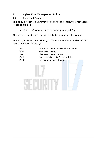### <span id="page-3-0"></span>**2 Cyber Risk Management Policy**

### <span id="page-3-1"></span>**2.1 Policy and Controls**

This policy is written to ensure that the outcomes of the following Cyber Security Principles are met;

• SP01 Governance and Risk Management (Ref [1])

This policy is one of several that are required to support principles above.

This policy implements the following NIST controls, which are detailed in NIST Special Publication 800-53 [2]:

| <b>RA-1</b> | <b>Risk Assessment Policy and Procedures</b> |
|-------------|----------------------------------------------|
| <b>RA-3</b> | <b>Risk Assessment</b>                       |
| <b>RA-4</b> | <b>Risk Assessment Update</b>                |
| $PM-2$      | <b>Information Security Program Roles</b>    |
| $PM-9$      | <b>Risk Management Strategy</b>              |

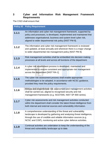### <span id="page-4-0"></span>**3 Cyber and Information Risk Management Framework Requirements**

The CISO shall ensure that:

| <b>Policy ID</b> | <b>Policy Requirement</b>                                                                                                                                                                                                                                                        |
|------------------|----------------------------------------------------------------------------------------------------------------------------------------------------------------------------------------------------------------------------------------------------------------------------------|
| 1.1.1            | An information and cyber risk management framework, supported by<br>policy and processes, is developed, implemented and maintained that<br>addresses organisational, business and system level cyber risk,<br>aligned to wider departmental risk policy [NIST PM-9].             |
| 1.1.2            | The information and cyber risk management framework is reviewed<br>and updated, at least annually and whenever there is a major change<br>to wider departmental risk management policy [NIST PM-9].                                                                              |
| 1.1.3            | Risk management activities shall be embedded into decision making<br>processes at all levels and across all functions of the department.                                                                                                                                         |
| 1.1.4            | A cyber risk assessment process is developed, maintained and<br>implemented to ensure consistent and appropriate risk management<br>across the department [NIST RA-1].                                                                                                           |
| 1.1.5            | The cyber risk assessment process shall enable appropriate<br>methodologies to be adopted, in accordance with NCSC guidance,<br>provided they meet the policy requirements.                                                                                                      |
| 1.1.6            | Robust and proportionate risk assessment and management activities<br>shall be carried out, aligned to recognised security and risk<br>management frameworks (e.g. ISO27005, NIST SP-800 series).                                                                                |
| 1.1.7            | Cyber risk assessments and risk management activities conducted<br>within the department shall consider the latest threat intelligence from<br>both internal and external sources and vulnerability information.                                                                 |
| 1.1.8            | A comprehensive understanding of the threat and vulnerability<br>landscape is developed by gathering and analysing threat intelligence,<br>through the use of credible and reliable information sources (e.g.<br>NCSC and CiSP), monitoring and active cyber defence activities. |
| 1.1.9            | Continual activities are undertaken to keep the understanding of the<br>threat and vulnerability landscape up to date.                                                                                                                                                           |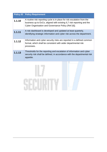|        | <b>Policy ID Policy Requirement</b>                                                                                                                                                                     |  |
|--------|---------------------------------------------------------------------------------------------------------------------------------------------------------------------------------------------------------|--|
| 1.1.10 | A routine risk reporting cycle is in place for risk escalation from the<br>business up to ExCo, aligned with existing IL7 risk reporting and the<br>Cyber Organisation and Governance Policy (Ref [4]). |  |
| 1.1.11 | A risk dashboard is developed and updated at least quarterly,<br>identifying strategic information and cyber risk across the department.                                                                |  |
| 1.1.12 | Information and cyber security risks are reported in a defined common<br>format, which shall be consistent with wider departmental risk<br>processes.                                                   |  |
| 1.1.13 | Thresholds for the reporting and escalation of information and cyber<br>security risk shall be defined, in accordance with the departmental risk<br>appetite.                                           |  |

# SECURITY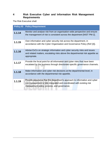### <span id="page-6-0"></span>**4 Risk Executive Cyber and Information Risk Management Requirements**

The Risk Executive shall:

| <b>Policy ID</b> | <b>Policy Requirement</b>                                                                                                                                                                          |
|------------------|----------------------------------------------------------------------------------------------------------------------------------------------------------------------------------------------------|
| 1.1.14           | Monitor and analyse risk from an organisation-wide perspective and ensure<br>the management of risk is consistent across the department [NIST PM-2].                                               |
| 1.1.15           | Own information and cyber security risk across the department, in<br>accordance with the Cyber Organisation and Governance Policy (Ref [4]).                                                       |
| 1.1.16           | Advise ExCo on strategic information and cyber security risks and issues<br>and related matters, escalating risks above the departmental risk appetite as<br>appropriate.                          |
| 1.1.17           | Provide the focal point for all information and cyber risks that have been<br>escalated by the business through directorate-specific governance channels.                                          |
| 1.1.18           | Make information and cyber risk decisions at the departmental level, in<br>accordance with the departmental risk appetite.                                                                         |
| 1.1.19           | Provide assurance that the department's approach to information and cyber<br>risk management is fully integrated and coordinated with existing risk<br>management policy, process, and governance. |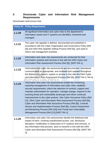### <span id="page-7-0"></span>**5 Directorate Cyber and Information Risk Management Requirements**

Directorates shall ensure that:

| <b>Policy ID</b> | <b>Policy Requirement</b>                                                                                                                                                                                                                                                                                                                                                                                                                                                                                                                                                                                                                                                                                                                              |
|------------------|--------------------------------------------------------------------------------------------------------------------------------------------------------------------------------------------------------------------------------------------------------------------------------------------------------------------------------------------------------------------------------------------------------------------------------------------------------------------------------------------------------------------------------------------------------------------------------------------------------------------------------------------------------------------------------------------------------------------------------------------------------|
| 1.1.20           | All significant information and cyber risks to the department's<br>information assets and IT systems are identified, monitored and<br>managed.                                                                                                                                                                                                                                                                                                                                                                                                                                                                                                                                                                                                         |
| 1.1.21           | The cyber risk appetite is defined, documented and published in<br>accordance with the Cyber Organisation and Governance Policy (Ref<br>[4]) and GRA Risk Appetite Setting Process (Ref [5]), and used to<br>inform risk management activities.                                                                                                                                                                                                                                                                                                                                                                                                                                                                                                        |
| 1.1.22           | Information and cyber risk assessments are conducted for their<br>information systems and services in line with the GRA Cyber and<br>Information Risk Assessment Process (Ref [6]). [NIST RA-1].                                                                                                                                                                                                                                                                                                                                                                                                                                                                                                                                                       |
| 1.1.23           | Information and cyber risk assessments are documented, maintained,<br>communicated as appropriate, and reviewed and updated throughout<br>the lifetime of a product, system or service in line with the GRA Cyber<br>and Information Risk Assessment Process (Ref [6]). [NIST RA-3, RA-4]                                                                                                                                                                                                                                                                                                                                                                                                                                                              |
| 1.1.24           | Information and cyber risk assessments enable the monitoring,<br>reporting management of information and cyber risks, establish<br>security requirements, inform the selection of controls, support and<br>maintain authorisation for operation, manage change, respond to the<br>evolving threat and vulnerability landscape and inform continual<br>improvements to the cyber posture. See Cyber Assurance Policy (Ref<br>[7]), GRA Cyber and Information Risk Assessment Process (Ref [6]),<br>Cyber and Information Risk Assurance Process (Ref [8]), Controls<br>Section and Implementation Process (Ref [9]), Control Assessment<br>and Monitoring Process (Ref [10]) and Threat and Vulnerability<br>Management Process (Ref [11]).[NIST RA-1]. |
| 1.1.25           | Information and cyber risk assessments identify the likelihood and<br>impact of harm, covering unauthorised access, use, disclosure,<br>disruption, modification or destruction of IT systems and services, or<br>any information they process, store or transmit in line with the GRA<br>Cyber and Information Risk Assessment Process (Ref [6]). [NIST RA-<br>3].                                                                                                                                                                                                                                                                                                                                                                                    |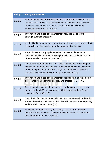|        | <b>Policy ID Policy Requirement</b>                                                                                                                                                                                                                                         |
|--------|-----------------------------------------------------------------------------------------------------------------------------------------------------------------------------------------------------------------------------------------------------------------------------|
| 1.1.26 | Information and cyber risk assessments undertaken for systems and<br>services shall identify a proportionate set of security controls linked to<br>each risk, in accordance with the GRA Controls Selection and<br>Implementation Process (Ref [9]).                        |
| 1.1.27 | Information and cyber risk management activities are linked to<br>strategic business objectives.                                                                                                                                                                            |
| 1.1.28 | All identified information and cyber risks shall have a risk owner, who is<br>responsible for the monitoring and management of the risk.                                                                                                                                    |
| 1.1.29 | Proportionate and appropriate mechanisms are implemented to<br>manage identified information and cyber risks in accordance with the<br>departmental risk appetite [NIST RA-3].                                                                                              |
| 1.1.30 | Cyber risk management activities include the ongoing monitoring and<br>assessment of the effectiveness of the implemented security controls<br>and their impact on the residual risks, in accordance with the GRA<br>Controls Assessment and Monitoring Process (Ref [10]). |
| 1.1.31 | Information and cyber risk management decisions are documented in<br>accordance with departmental policy and process [NIST RA-3].                                                                                                                                           |
| 1.1.32 | Directorates follow the risk management and assurance processes<br>defined by the CISO, in accordance with this policy and the Cyber<br>Assurance Policy (Ref [7]).                                                                                                         |
| 1.1.33 | Clear lines of escalation are established and documented for risks that<br>exceed the defined risk thresholds in line with the GRA Risk Reporting<br>and Escalation Process (Ref [12]).                                                                                     |
| 1.1.34 | Identified information and cyber security risks are reported and<br>escalated when above the defined thresholds defined in accordance<br>with the departmental risk appetite.                                                                                               |